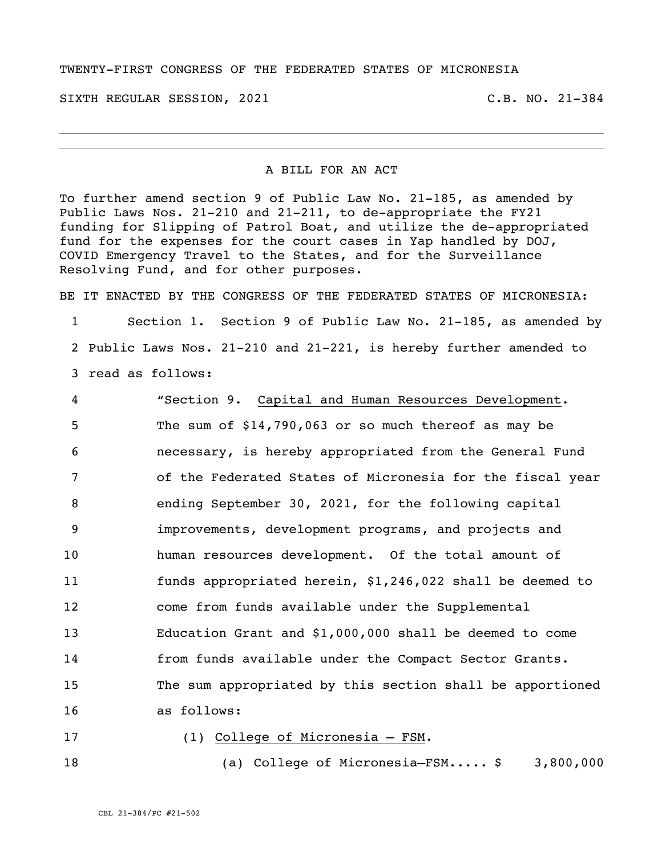## TWENTY-FIRST CONGRESS OF THE FEDERATED STATES OF MICRONESIA

SIXTH REGULAR SESSION, 2021 C.B. NO. 21-384

## A BILL FOR AN ACT

To further amend section 9 of Public Law No. 21-185, as amended by Public Laws Nos. 21-210 and 21-211, to de-appropriate the FY21 funding for Slipping of Patrol Boat, and utilize the de-appropriated fund for the expenses for the court cases in Yap handled by DOJ, COVID Emergency Travel to the States, and for the Surveillance Resolving Fund, and for other purposes.

BE IT ENACTED BY THE CONGRESS OF THE FEDERATED STATES OF MICRONESIA:

 Section 1. Section 9 of Public Law No. 21-185, as amended by Public Laws Nos. 21-210 and 21-221, is hereby further amended to read as follows:

 "Section 9. Capital and Human Resources Development. The sum of \$14,790,063 or so much thereof as may be necessary, is hereby appropriated from the General Fund of the Federated States of Micronesia for the fiscal year ending September 30, 2021, for the following capital improvements, development programs, and projects and human resources development. Of the total amount of funds appropriated herein, \$1,246,022 shall be deemed to come from funds available under the Supplemental Education Grant and \$1,000,000 shall be deemed to come from funds available under the Compact Sector Grants. The sum appropriated by this section shall be apportioned as follows:

## (1) College of Micronesia – FSM.

(a) College of Micronesia–FSM..... \$ 3,800,000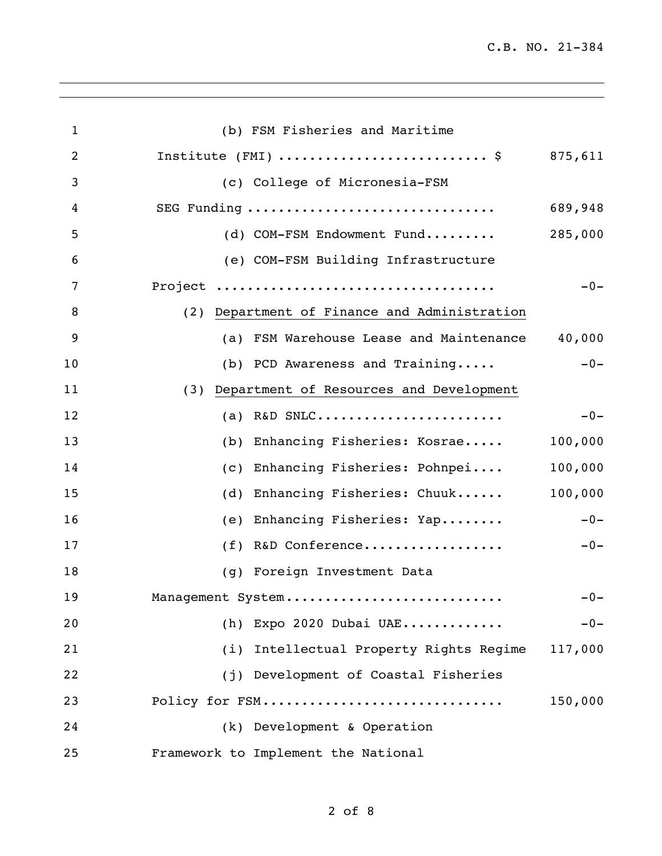| $\mathbf{1}$   | (b) FSM Fisheries and Maritime               |         |
|----------------|----------------------------------------------|---------|
| $\overline{2}$ | Institute (FMI) \$ 875,611                   |         |
| 3              | (c) College of Micronesia-FSM                |         |
| 4              | SEG Funding                                  | 689,948 |
| 5              | (d) COM-FSM Endowment Fund                   | 285,000 |
| 6              | (e) COM-FSM Building Infrastructure          |         |
| 7              |                                              | $-0-$   |
| 8              | (2) Department of Finance and Administration |         |
| 9              | (a) FSM Warehouse Lease and Maintenance      | 40,000  |
| 10             | (b) PCD Awareness and Training               | $-0-$   |
| 11             | (3) Department of Resources and Development  |         |
| 12             | (a) R&D SNLC                                 | $-0-$   |
| 13             | (b) Enhancing Fisheries: Kosrae              | 100,000 |
| 14             | (c) Enhancing Fisheries: Pohnpei             | 100,000 |
| 15             | (d) Enhancing Fisheries: Chuuk               | 100,000 |
| 16             | (e) Enhancing Fisheries: Yap                 | $-0-$   |
| 17             | (f) R&D Conference                           | $-0-$   |
| 18             | (g) Foreign Investment Data                  |         |
| 19             | Management System                            | $-0-$   |
| 20             | (h) Expo 2020 Dubai UAE                      | $-0-$   |
| 21             | Intellectual Property Rights Regime<br>(i)   | 117,000 |
| 22             | (j) Development of Coastal Fisheries         |         |
| 23             | Policy for FSM                               | 150,000 |
| 24             | (k) Development & Operation                  |         |
| 25             | Framework to Implement the National          |         |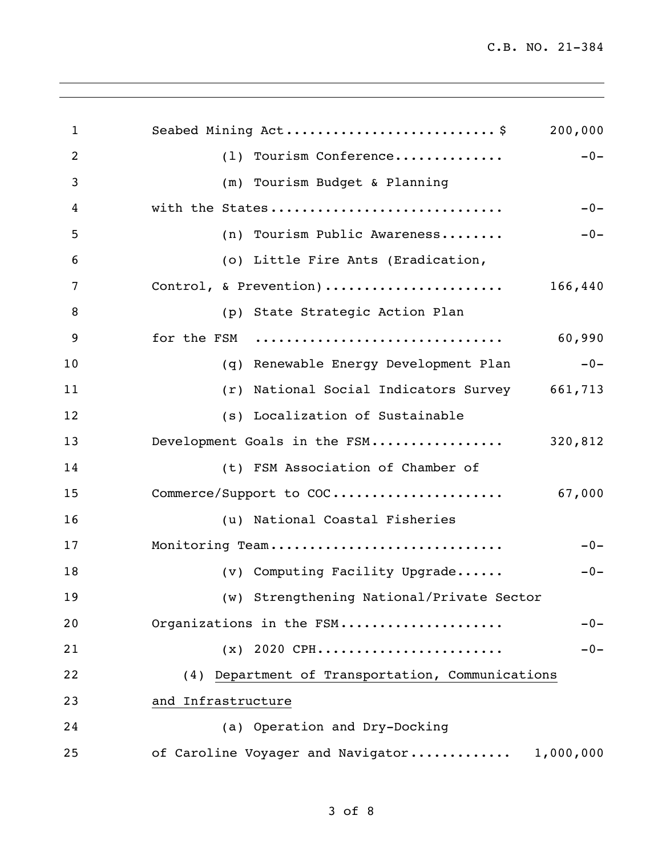| 1  | Seabed Mining Act\$<br>200,000                   |
|----|--------------------------------------------------|
| 2  | (1) Tourism Conference<br>$-0-$                  |
| 3  | (m) Tourism Budget & Planning                    |
| 4  | with the States<br>$-0-$                         |
| 5  | (n) Tourism Public Awareness<br>$-0-$            |
| 6  | (o) Little Fire Ants (Eradication,               |
| 7  | Control, & Prevention)<br>166,440                |
| 8  | (p) State Strategic Action Plan                  |
| 9  | for the FSM<br>60,990                            |
| 10 | (q) Renewable Energy Development Plan<br>$-0-$   |
| 11 | (r) National Social Indicators Survey 661,713    |
| 12 | (s) Localization of Sustainable                  |
| 13 | Development Goals in the FSM<br>320,812          |
| 14 | (t) FSM Association of Chamber of                |
| 15 |                                                  |
| 16 | (u) National Coastal Fisheries                   |
| 17 | Monitoring Team<br>$-0-$                         |
| 18 | (v) Computing Facility Upgrade<br>$-0-$          |
| 19 | (w) Strengthening National/Private Sector        |
| 20 | Organizations in the FSM<br>$-0-$                |
| 21 | $(x)$ 2020 CPH<br>$-0-$                          |
| 22 | (4) Department of Transportation, Communications |
| 23 | and Infrastructure                               |
| 24 | (a) Operation and Dry-Docking                    |
| 25 | of Caroline Voyager and Navigator<br>1,000,000   |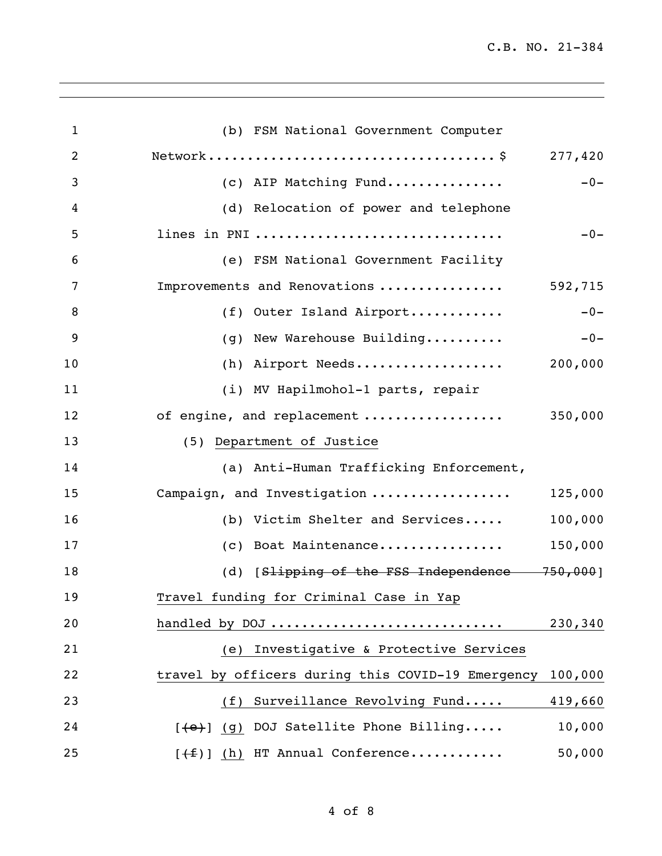C.B. NO. 21-384

| $\mathbf{1}$ | (b) FSM National Government Computer                         |
|--------------|--------------------------------------------------------------|
| 2            |                                                              |
| 3            | $-0-$<br>(c) AIP Matching Fund                               |
| 4            | (d) Relocation of power and telephone                        |
| 5            | lines in PNI<br>$-0-$                                        |
| 6            | (e) FSM National Government Facility                         |
| 7            | Improvements and Renovations<br>592,715                      |
| 8            | $-0-$<br>(f) Outer Island Airport                            |
| 9            | (g) New Warehouse Building<br>$-0-$                          |
| 10           | (h) Airport Needs 200,000                                    |
| 11           | (i) MV Hapilmohol-1 parts, repair                            |
| 12           | of engine, and replacement  350,000                          |
| 13           | (5) Department of Justice                                    |
| 14           | (a) Anti-Human Trafficking Enforcement,                      |
| 15           | Campaign, and Investigation<br>125,000                       |
| 16           | 100,000<br>(b) Victim Shelter and Services                   |
| 17           | (c) Boat Maintenance<br>150,000                              |
| 18           | (d) [Slipping of the FSS Independence 750,000]               |
| 19           | Travel funding for Criminal Case in Yap                      |
| 20           | handled by DOJ<br>230,340                                    |
| 21           | Investigative & Protective Services<br>(e)                   |
| 22           | travel by officers during this COVID-19 Emergency<br>100,000 |
| 23           | Surveillance Revolving Fund<br>419,660<br>(f)                |
| 24           | $[$ (4) (9) DOJ Satellite Phone Billing<br>10,000            |
| 25           | $[+f]$ (h) HT Annual Conference<br>50,000                    |

<u> 1989 - Johann Stoff, amerikansk politiker (\* 1908)</u>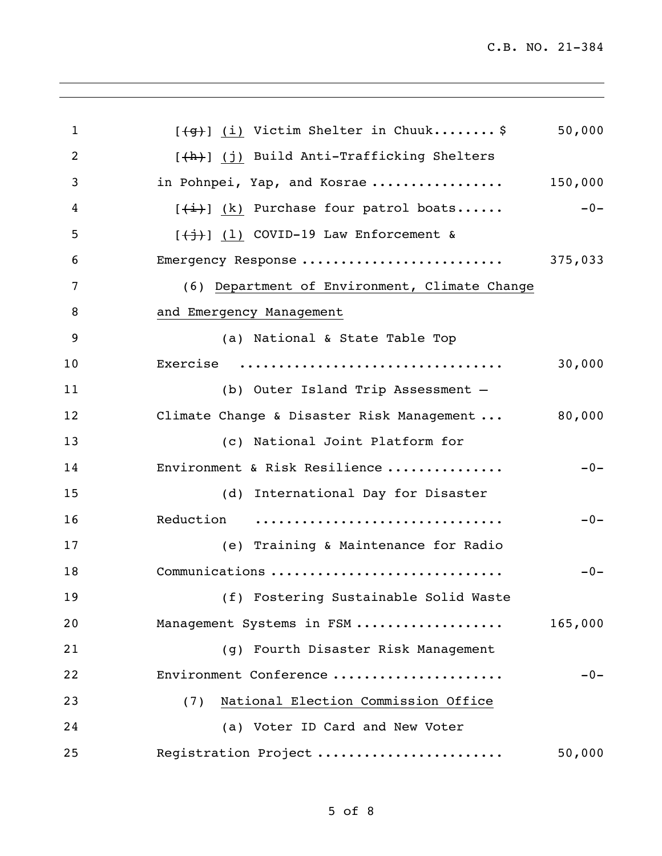| $\mathbf{1}$   | $[49]$ (i) Victim Shelter in Chuuk\$                        | 50,000  |
|----------------|-------------------------------------------------------------|---------|
| $\overline{2}$ | [(h)] (j) Build Anti-Trafficking Shelters                   |         |
| 3              | in Pohnpei, Yap, and Kosrae                                 | 150,000 |
| 4              | $[\frac{1}{2}, \frac{1}{2}]$ (k) Purchase four patrol boats | $-0-$   |
| 5              | $[\frac{+i}{+j}]$ (1) COVID-19 Law Enforcement &            |         |
| 6              | Emergency Response                                          | 375,033 |
| 7              | (6) Department of Environment, Climate Change               |         |
| 8              | and Emergency Management                                    |         |
| 9              | (a) National & State Table Top                              |         |
| 10             | Exercise                                                    | 30,000  |
| 11             | (b) Outer Island Trip Assessment -                          |         |
| 12             | Climate Change & Disaster Risk Management  80,000           |         |
| 13             | (c) National Joint Platform for                             |         |
| 14             | Environment & Risk Resilience                               | $-0-$   |
| 15             | (d) International Day for Disaster                          |         |
| 16             | Reduction                                                   | $-0-$   |
| 17             | (e) Training & Maintenance for Radio                        |         |
| 18             | Communications                                              | $-0-$   |
| 19             | (f) Fostering Sustainable Solid Waste                       |         |
| 20             | Management Systems in FSM                                   | 165,000 |
| 21             | (g) Fourth Disaster Risk Management                         |         |
| 22             | Environment Conference                                      | $-0-$   |
| 23             | National Election Commission Office<br>(7)                  |         |
| 24             | (a) Voter ID Card and New Voter                             |         |
| 25             | Registration Project                                        | 50,000  |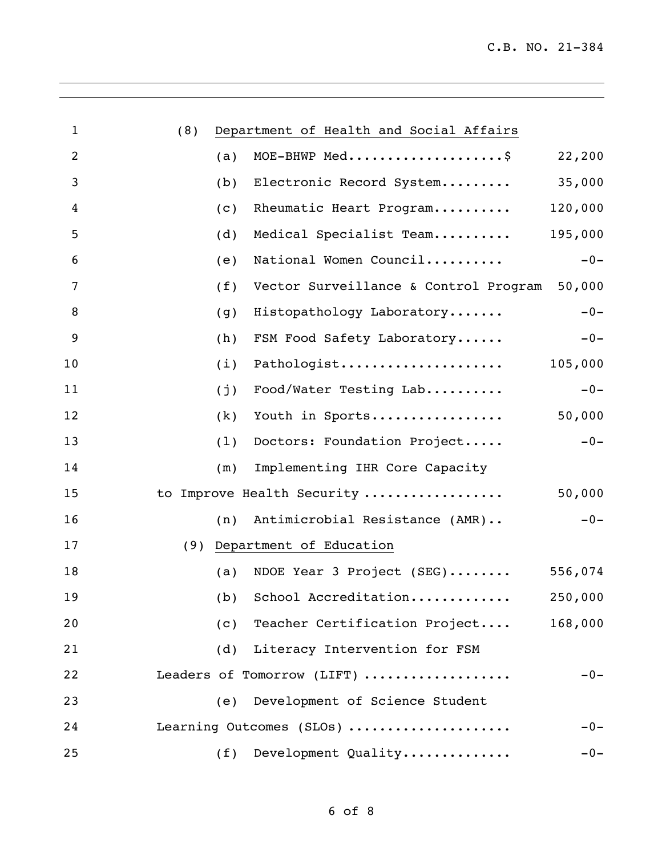| $\mathbf{1}$   | (8) | Department of Health and Social Affairs      |         |
|----------------|-----|----------------------------------------------|---------|
| $\overline{2}$ | (a) | MOE-BHWP Med\$                               | 22,200  |
| 3              | (b) | Electronic Record System                     | 35,000  |
| 4              | (c) | Rheumatic Heart Program                      | 120,000 |
| 5              | (d) | Medical Specialist Team                      | 195,000 |
| 6              | (e) | National Women Council                       | $-0-$   |
| 7              | (f) | Vector Surveillance & Control Program 50,000 |         |
| 8              | (g) | Histopathology Laboratory                    | $-0-$   |
| 9              | (h) | FSM Food Safety Laboratory                   | $-0-$   |
| 10             | (i) | Pathologist                                  | 105,000 |
| 11             | (j) | Food/Water Testing Lab                       | $-0-$   |
| 12             | (k) | Youth in Sports                              | 50,000  |
| 13             | (1) | Doctors: Foundation Project                  | $-0-$   |
| 14             | (m) | Implementing IHR Core Capacity               |         |
| 15             |     | to Improve Health Security                   | 50,000  |
| 16             |     | (n) Antimicrobial Resistance (AMR)           | $-0-$   |
| 17             |     | (9) Department of Education                  |         |
| 18             |     | (a) NDOE Year 3 Project $(SEG)$              | 556,074 |
| 19             |     | (b) School Accreditation                     | 250,000 |
| 20             | (c) | Teacher Certification Project                | 168,000 |
| 21             | (d) | Literacy Intervention for FSM                |         |
| 22             |     | Leaders of Tomorrow (LIFT)                   | $-0-$   |
| 23             | (e) | Development of Science Student               |         |
| 24             |     | Learning Outcomes (SLOs)                     | $-0-$   |
| 25             | (f) | Development Quality                          | $-0-$   |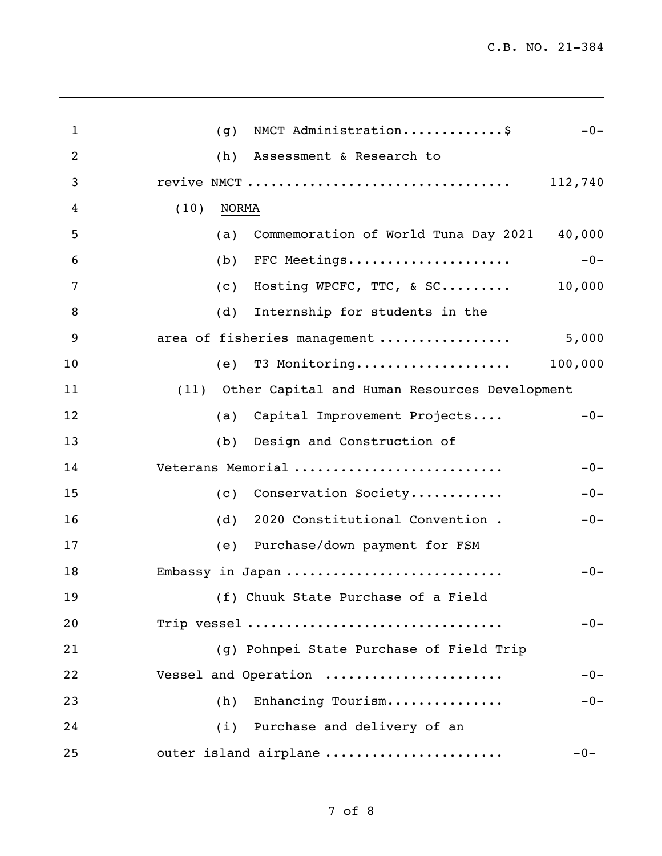| $\mathbf{1}$ | NMCT Administration\$<br>$-0-$<br>(g)              |  |
|--------------|----------------------------------------------------|--|
| 2            | Assessment & Research to<br>(h)                    |  |
| 3            | revive NMCT<br>112,740                             |  |
| 4            | (10)<br><b>NORMA</b>                               |  |
| 5            | Commemoration of World Tuna Day 2021 40,000<br>(a) |  |
| 6            | FFC Meetings<br>$-0-$<br>(b)                       |  |
| 7            | Hosting WPCFC, TTC, & SC $10,000$<br>(c)           |  |
| 8            | (d)<br>Internship for students in the              |  |
| 9            | area of fisheries management<br>5,000              |  |
| 10           | T3 Monitoring 100,000<br>(e)                       |  |
| 11           | (11) Other Capital and Human Resources Development |  |
| 12           | Capital Improvement Projects<br>$-0-$<br>(a)       |  |
| 13           | Design and Construction of<br>(b)                  |  |
| 14           | Veterans Memorial<br>$-0-$                         |  |
| 15           | Conservation Society<br>(C)<br>$-0-$               |  |
| 16           | 2020 Constitutional Convention.<br>$-0-$<br>(d)    |  |
| 17           | (e) Purchase/down payment for FSM                  |  |
| 18           | $-0-$<br>Embassy in Japan                          |  |
| 19           | (f) Chuuk State Purchase of a Field                |  |
| 20           | Trip vessel<br>$-0-$                               |  |
| 21           | (g) Pohnpei State Purchase of Field Trip           |  |
| 22           | Vessel and Operation<br>$-0-$                      |  |
| 23           | Enhancing Tourism<br>$-0-$<br>(h)                  |  |
| 24           | (i) Purchase and delivery of an                    |  |
| 25           | outer island airplane<br>$-0-$                     |  |